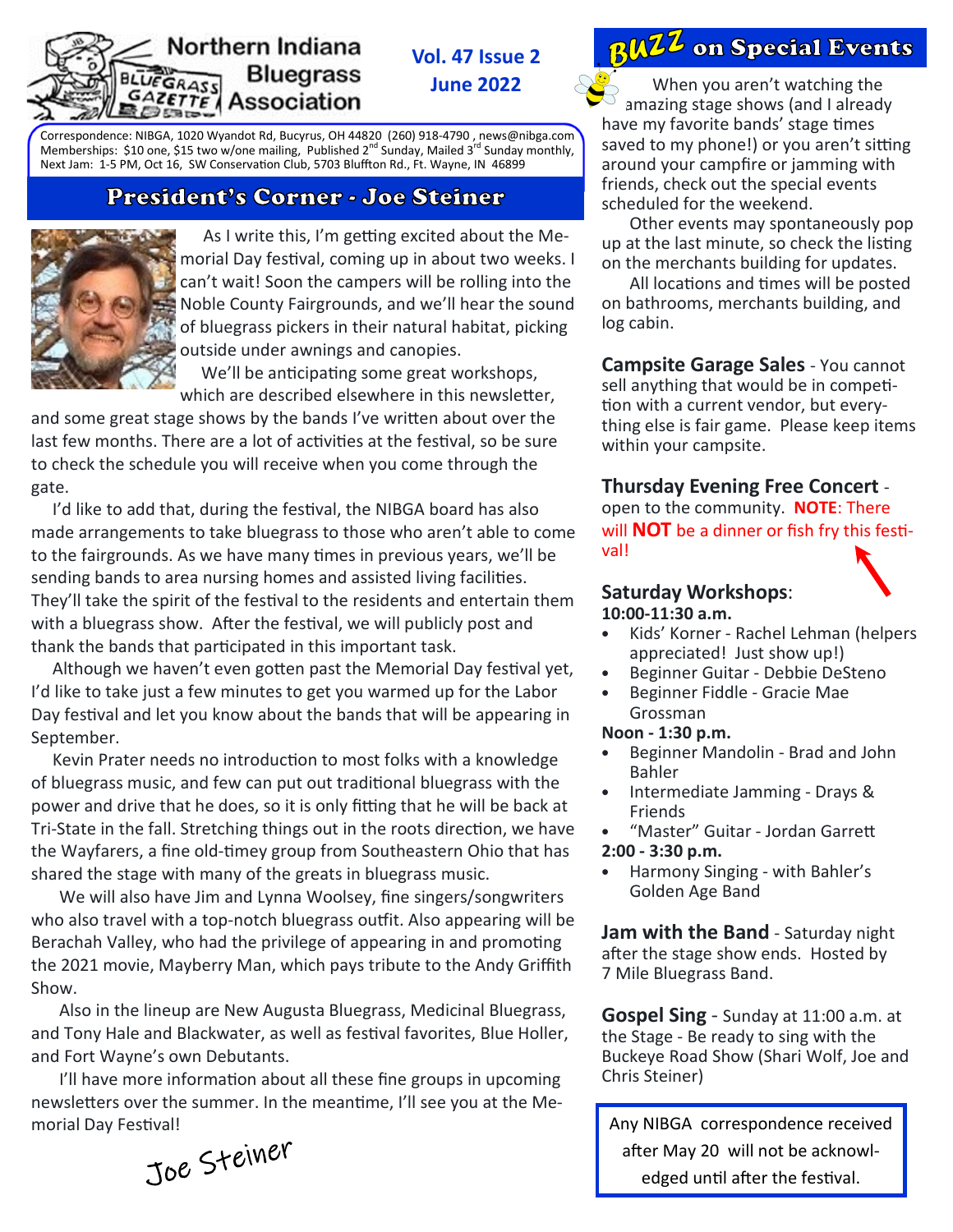#### Northern Indiana **Bluegrass UEGRASS** GAZETTE Association

**Vol. 47 Issue 2 June 2022** 



Correspondence: NIBGA, 1020 Wyandot Rd, Bucyrus, OH 44820 (260) 918-4790 , news@nibga.com Memberships: \$10 one, \$15 two w/one mailing, Published  $2^{nd}$  Sunday, Mailed  $3^{rd}$  Sunday monthly, Next Jam: 1-5 PM, Oct 16, SW Conservation Club, 5703 Bluffton Rd., Ft. Wayne, IN 46899

## President's Corner - Joe Steiner



As I write this, I'm getting excited about the Memorial Day festival, coming up in about two weeks. I can't wait! Soon the campers will be rolling into the Noble County Fairgrounds, and we'll hear the sound of bluegrass pickers in their natural habitat, picking outside under awnings and canopies.

We'll be anticipating some great workshops, which are described elsewhere in this newsletter,

and some great stage shows by the bands I've written about over the last few months. There are a lot of activities at the festival, so be sure to check the schedule you will receive when you come through the gate.

I'd like to add that, during the festival, the NIBGA board has also made arrangements to take bluegrass to those who aren't able to come to the fairgrounds. As we have many times in previous years, we'll be sending bands to area nursing homes and assisted living facilities. They'll take the spirit of the festival to the residents and entertain them with a bluegrass show. After the festival, we will publicly post and thank the bands that participated in this important task.

Although we haven't even gotten past the Memorial Day festival yet, I'd like to take just a few minutes to get you warmed up for the Labor Day festival and let you know about the bands that will be appearing in September.

Kevin Prater needs no introduction to most folks with a knowledge of bluegrass music, and few can put out traditional bluegrass with the power and drive that he does, so it is only fitting that he will be back at Tri-State in the fall. Stretching things out in the roots direction, we have the Wayfarers, a fine old-timey group from Southeastern Ohio that has shared the stage with many of the greats in bluegrass music.

 We will also have Jim and Lynna Woolsey, fine singers/songwriters who also travel with a top-notch bluegrass outfit. Also appearing will be Berachah Valley, who had the privilege of appearing in and promoting the 2021 movie, Mayberry Man, which pays tribute to the Andy Griffith Show.

 Also in the lineup are New Augusta Bluegrass, Medicinal Bluegrass, and Tony Hale and Blackwater, as well as festival favorites, Blue Holler, and Fort Wayne's own Debutants.

I'll have more information about all these fine groups in upcoming newsletters over the summer. In the meantime, I'll see you at the Me-

morial Day Festival!<br>  $\tau_{\Lambda}e$ ,  $\zeta$ teiner

 When you aren't watching the amazing stage shows (and I already have my favorite bands' stage times saved to my phone!) or you aren't sitting around your campfire or jamming with friends, check out the special events scheduled for the weekend.

 Other events may spontaneously pop up at the last minute, so check the listing on the merchants building for updates.

All locations and times will be posted on bathrooms, merchants building, and log cabin.

**Campsite Garage Sales** - You cannot sell anything that would be in competition with a current vendor, but everything else is fair game. Please keep items within your campsite.

## **Thursday Evening Free Concert** -

open to the community. **NOTE**: There will **NOT** be a dinner or fish fry this festival!

#### **Saturday Workshops**: **10:00-11:30 a.m.**



- Beginner Guitar Debbie DeSteno
- Beginner Fiddle Gracie Mae Grossman

### **Noon - 1:30 p.m.**

- Beginner Mandolin Brad and John Bahler
- Intermediate Jamming Drays & Friends
- "Master" Guitar Jordan Garrett
- **2:00 3:30 p.m.**
- Harmony Singing with Bahler's Golden Age Band

**Jam with the Band** - Saturday night after the stage show ends. Hosted by 7 Mile Bluegrass Band.

**Gospel Sing** - Sunday at 11:00 a.m. at the Stage - Be ready to sing with the Buckeye Road Show (Shari Wolf, Joe and Chris Steiner)

Any NIBGA correspondence received after May 20 will not be acknowledged until after the festival.

# **BUZZ** on Special Events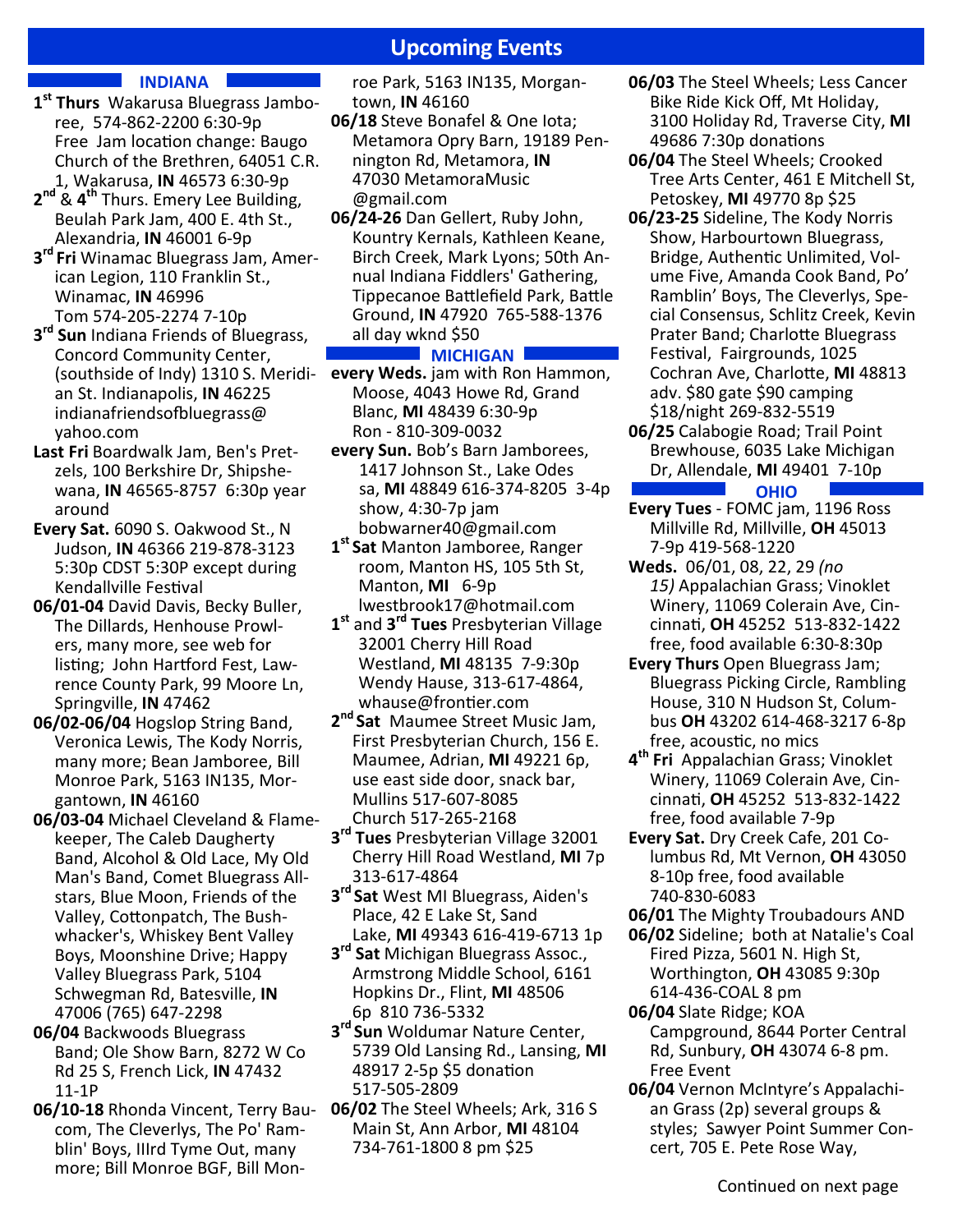## **Upcoming Events**

#### **INDIANA**

- **1 st Thurs** Wakarusa Bluegrass Jamboree, 574-862-2200 6:30-9p Free Jam location change: Baugo Church of the Brethren, 64051 C.R. 1, Wakarusa, **IN** 46573 6:30-9p
- **2 nd** & **4 th** Thurs. Emery Lee Building, Beulah Park Jam, 400 E. 4th St., Alexandria, **IN** 46001 6-9p
- **3 rd Fri** Winamac Bluegrass Jam, American Legion, 110 Franklin St., Winamac, **IN** 46996 Tom 574-205-2274 7-10p
- **3 rd Sun** Indiana Friends of Bluegrass, Concord Community Center, (southside of Indy) 1310 S. Meridian St. Indianapolis, **IN** 46225 indianafriendsofbluegrass@ yahoo.com
- **Last Fri** Boardwalk Jam, Ben's Pretzels, 100 Berkshire Dr, Shipshewana, **IN** 46565-8757 6:30p year around
- **Every Sat.** 6090 S. Oakwood St., N Judson, **IN** 46366 219-878-3123 5:30p CDST 5:30P except during Kendallville Festival
- **06/01-04** David Davis, Becky Buller, The Dillards, Henhouse Prowlers, many more, see web for listing; John Hartford Fest, Lawrence County Park, 99 Moore Ln, Springville, **IN** 47462
- **06/02-06/04** Hogslop String Band, Veronica Lewis, The Kody Norris, many more; Bean Jamboree, Bill Monroe Park, 5163 IN135, Morgantown, **IN** 46160
- **06/03-04** Michael Cleveland & Flamekeeper, The Caleb Daugherty Band, Alcohol & Old Lace, My Old Man's Band, Comet Bluegrass Allstars, Blue Moon, Friends of the Valley, Cottonpatch, The Bushwhacker's, Whiskey Bent Valley Boys, Moonshine Drive; Happy Valley Bluegrass Park, 5104 Schwegman Rd, Batesville, **IN** 47006 (765) 647-2298
- **06/04** Backwoods Bluegrass Band; Ole Show Barn, 8272 W Co Rd 25 S, French Lick, **IN** 47432 11-1P
- **06/10-18** Rhonda Vincent, Terry Baucom, The Cleverlys, The Po' Ramblin' Boys, IIIrd Tyme Out, many more; Bill Monroe BGF, Bill Mon-

roe Park, 5163 IN135, Morgantown, **IN** 46160

- **06/18** Steve Bonafel & One Iota; Metamora Opry Barn, 19189 Pennington Rd, Metamora, **IN** 47030 MetamoraMusic @gmail.com
- **06/24-26** Dan Gellert, Ruby John, Kountry Kernals, Kathleen Keane, Birch Creek, Mark Lyons; 50th Annual Indiana Fiddlers' Gathering, Tippecanoe Battlefield Park, Battle Ground, **IN** 47920 765-588-1376 all day wknd \$50

#### **MICHIGAN**

- **every Weds.** jam with Ron Hammon, Moose, 4043 Howe Rd, Grand Blanc, **MI** 48439 6:30-9p Ron - 810-309-0032
- **every Sun.** Bob's Barn Jamborees, 1417 Johnson St., Lake Odes sa, **MI** 48849 616-374-8205 3-4p show, 4:30-7p jam bobwarner40@gmail.com
- **1 st Sat** Manton Jamboree, Ranger room, Manton HS, 105 5th St, Manton, **MI** 6-9p lwestbrook17@hotmail.com
- **1 st** and **3 rd Tues** Presbyterian Village 32001 Cherry Hill Road Westland, **MI** 48135 7-9:30p Wendy Hause, 313-617-4864, whause@frontier.com
- **2 nd Sat** Maumee Street Music Jam, First Presbyterian Church, 156 E. Maumee, Adrian, **MI** 49221 6p, use east side door, snack bar, Mullins 517-607-8085 Church 517-265-2168
- **3 rd Tues** Presbyterian Village 32001 Cherry Hill Road Westland, **MI** 7p 313-617-4864
- **3 rd Sat** West MI Bluegrass, Aiden's Place, 42 E Lake St, Sand Lake, **MI** 49343 616-419-6713 1p
- **3 rd Sat** Michigan Bluegrass Assoc., Armstrong Middle School, 6161 Hopkins Dr., Flint, **MI** 48506 6p 810 736-5332
- **3 rd Sun** Woldumar Nature Center, 5739 Old Lansing Rd., Lansing, **MI** 48917 2-5p \$5 donation 517-505-2809
- **06/02** The Steel Wheels; Ark, 316 S Main St, Ann Arbor, **MI** 48104 734-761-1800 8 pm \$25
- **06/03** The Steel Wheels; Less Cancer Bike Ride Kick Off, Mt Holiday, 3100 Holiday Rd, Traverse City, **MI** 49686 7:30p donations
- **06/04** The Steel Wheels; Crooked Tree Arts Center, 461 E Mitchell St, Petoskey, **MI** 49770 8p \$25
- **06/23-25** Sideline, The Kody Norris Show, Harbourtown Bluegrass, Bridge, Authentic Unlimited, Volume Five, Amanda Cook Band, Po' Ramblin' Boys, The Cleverlys, Special Consensus, Schlitz Creek, Kevin Prater Band; Charlotte Bluegrass Festival, Fairgrounds, 1025 Cochran Ave, Charlotte, MI 48813 adv. \$80 gate \$90 camping \$18/night 269-832-5519
- **06/25** Calabogie Road; Trail Point Brewhouse, 6035 Lake Michigan Dr, Allendale, **MI** 49401 7-10p

#### **OHIO**

- **Every Tues** FOMC jam, 1196 Ross Millville Rd, Millville, **OH** 45013 7-9p 419-568-1220
- **Weds.** 06/01, 08, 22, 29 *(no 15)* Appalachian Grass; Vinoklet Winery, 11069 Colerain Ave, Cincinna8, **OH** 45252 513-832-1422 free, food available 6:30-8:30p
- **Every Thurs** Open Bluegrass Jam; Bluegrass Picking Circle, Rambling House, 310 N Hudson St, Columbus **OH** 43202 614-468-3217 6-8p free, acoustic, no mics
- **4 th Fri** Appalachian Grass; Vinoklet Winery, 11069 Colerain Ave, Cincinna8, **OH** 45252 513-832-1422 free, food available 7-9p
- **Every Sat.** Dry Creek Cafe, 201 Columbus Rd, Mt Vernon, **OH** 43050 8-10p free, food available 740-830-6083
- **06/01** The Mighty Troubadours AND
- **06/02** Sideline; both at Natalie's Coal Fired Pizza, 5601 N. High St, Worthington, **OH** 43085 9:30p 614-436-COAL 8 pm
- **06/04** Slate Ridge; KOA Campground, 8644 Porter Central Rd, Sunbury, **OH** 43074 6-8 pm. Free Event
- **06/04** Vernon McIntyre's Appalachian Grass (2p) several groups & styles; Sawyer Point Summer Concert, 705 E. Pete Rose Way,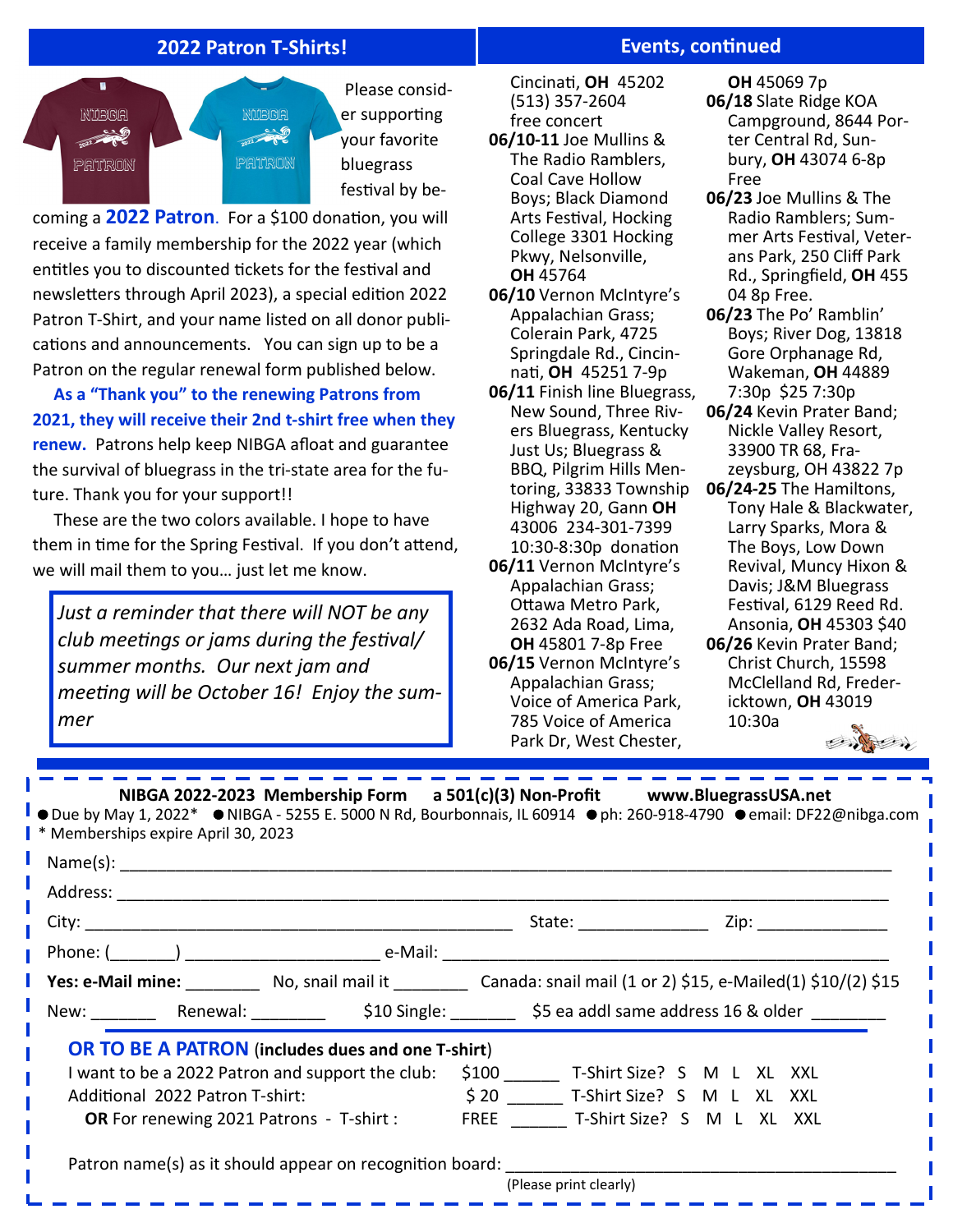## **2022 Patron T-Shirts!**



coming a **2022 Patron**. For a \$100 donation, you will receive a family membership for the 2022 year (which entitles you to discounted tickets for the festival and newsletters through April 2023), a special edition 2022 Patron T-Shirt, and your name listed on all donor publications and announcements. You can sign up to be a Patron on the regular renewal form published below.

 **As a "Thank you" to the renewing Patrons from 2021, they will receive their 2nd t-shirt free when they renew.** Patrons help keep NIBGA afloat and guarantee the survival of bluegrass in the tri-state area for the future. Thank you for your support!!

 These are the two colors available. I hope to have them in time for the Spring Festival. If you don't attend, we will mail them to you… just let me know.

*Just a reminder that there will NOT be any club meetings or jams during the festival/ summer months. Our next jam and*  meeting will be October 16! Enjoy the sum*mer* 

. <u>. . . . . . . .</u> .

## **Events, continued**

 Cincina8, **OH** 45202 (513) 357-2604 free concert

- **06/10-11** Joe Mullins & The Radio Ramblers, Coal Cave Hollow Boys; Black Diamond Arts Festival, Hocking College 3301 Hocking Pkwy, Nelsonville, **OH** 45764
- **06/10** Vernon McIntyre's Appalachian Grass; Colerain Park, 4725 Springdale Rd., Cincinna8, **OH** 45251 7-9p

**06/11** Finish line Bluegrass, New Sound, Three Rivers Bluegrass, Kentucky Just Us; Bluegrass & BBQ, Pilgrim Hills Mentoring, 33833 Township Highway 20, Gann **OH** 43006 234-301-7399 10:30-8:30p donation **06/11** Vernon McIntyre's Appalachian Grass;

Ottawa Metro Park, 2632 Ada Road, Lima, **OH** 45801 7-8p Free **06/15** Vernon McIntyre's Appalachian Grass; Voice of America Park, 785 Voice of America Park Dr, West Chester,

**OH** 45069 7p **06/18** Slate Ridge KOA Campground, 8644 Porter Central Rd, Sunbury, **OH** 43074 6-8p Free

- **06/23** Joe Mullins & The Radio Ramblers; Summer Arts Festival, Veterans Park, 250 Cliff Park Rd., Springfield, **OH** 455 04 8p Free.
- **06/23** The Po' Ramblin' Boys; River Dog, 13818 Gore Orphanage Rd, Wakeman, **OH** 44889 7:30p \$25 7:30p
- **06/24** Kevin Prater Band; Nickle Valley Resort, 33900 TR 68, Frazeysburg, OH 43822 7p
- **06/24-25** The Hamiltons, Tony Hale & Blackwater, Larry Sparks, Mora & The Boys, Low Down Revival, Muncy Hixon & Davis; J&M Bluegrass Festival, 6129 Reed Rd. Ansonia, **OH** 45303 \$40
- **06/26** Kevin Prater Band; Christ Church, 15598 McClelland Rd, Fredericktown, **OH** 43019 10:30a

Contractor

 **NIBGA 2022-2023 Membership Form a 501(c)(3) Non-Profit www.BluegrassUSA.net** 

 $\bullet$  Due by May 1, 2022\*  $\bullet$  NIBGA - 5255 E. 5000 N Rd, Bourbonnais, IL 60914  $\bullet$  ph: 260-918-4790  $\bullet$  email: DF22@nibga.com \* Memberships expire April 30, 2023

|                                                                                 |  |                                                                                                                                                                                                                                |  | State: _________                                               |  | Zip: _______________ |  |
|---------------------------------------------------------------------------------|--|--------------------------------------------------------------------------------------------------------------------------------------------------------------------------------------------------------------------------------|--|----------------------------------------------------------------|--|----------------------|--|
|                                                                                 |  | Phone: ( ) and the e-Mail: the e-Mail: the e-Mail: the e-Mail: the e-Mail: the e-Mail: the e-Mail: the e-Mail: the e-Mail: the e-Mail: the e-Mail: the e-Mail: the e-Mail: the e-Mail: the e-Mail: the e-Mail: the e-Mail: the |  |                                                                |  |                      |  |
|                                                                                 |  | Yes: e-Mail mine: No, snail mail it Canada: snail mail (1 or 2) \$15, e-Mailed(1) \$10/(2) \$15                                                                                                                                |  |                                                                |  |                      |  |
|                                                                                 |  |                                                                                                                                                                                                                                |  | New: Renewal: \$10 Single: \$5 ea addl same address 16 & older |  |                      |  |
|                                                                                 |  | <b>OR TO BE A PATRON</b> (includes dues and one T-shirt)                                                                                                                                                                       |  |                                                                |  |                      |  |
| I want to be a 2022 Patron and support the club:                                |  |                                                                                                                                                                                                                                |  | \$100 T-Shirt Size? S M L XL XXL                               |  |                      |  |
| Additional 2022 Patron T-shirt:                                                 |  |                                                                                                                                                                                                                                |  | \$20 T-Shirt Size? S M L XL XXL                                |  |                      |  |
| <b>OR</b> For renewing 2021 Patrons - T-shirt : FREE T-Shirt Size? S M L XL XXL |  |                                                                                                                                                                                                                                |  |                                                                |  |                      |  |